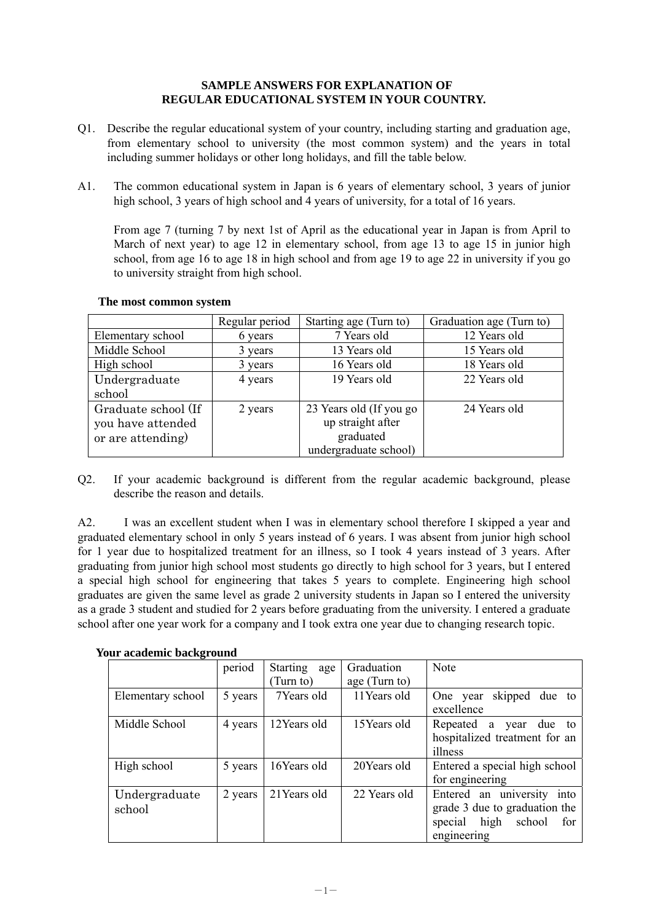## **SAMPLE ANSWERS FOR EXPLANATION OF REGULAR EDUCATIONAL SYSTEM IN YOUR COUNTRY.**

- Q1. Describe the regular educational system of your country, including starting and graduation age, from elementary school to university (the most common system) and the years in total including summer holidays or other long holidays, and fill the table below.
- A1. The common educational system in Japan is 6 years of elementary school, 3 years of junior high school, 3 years of high school and 4 years of university, for a total of 16 years.

 From age 7 (turning 7 by next 1st of April as the educational year in Japan is from April to March of next year) to age 12 in elementary school, from age 13 to age 15 in junior high school, from age 16 to age 18 in high school and from age 19 to age 22 in university if you go to university straight from high school.

|                     | Regular period | Starting age (Turn to)  | Graduation age (Turn to) |
|---------------------|----------------|-------------------------|--------------------------|
| Elementary school   | 6 years        | 7 Years old             | 12 Years old             |
| Middle School       | 3 years        | 13 Years old            | 15 Years old             |
| High school         | 3 years        | 16 Years old            | 18 Years old             |
| Undergraduate       | 4 years        | 19 Years old            | 22 Years old             |
| school              |                |                         |                          |
| Graduate school (If | 2 years        | 23 Years old (If you go | 24 Years old             |
| you have attended   |                | up straight after       |                          |
| or are attending)   |                | graduated               |                          |
|                     |                | undergraduate school)   |                          |

## **The most common system**

Q2. If your academic background is different from the regular academic background, please describe the reason and details.

A2. I was an excellent student when I was in elementary school therefore I skipped a year and graduated elementary school in only 5 years instead of 6 years. I was absent from junior high school for 1 year due to hospitalized treatment for an illness, so I took 4 years instead of 3 years. After graduating from junior high school most students go directly to high school for 3 years, but I entered a special high school for engineering that takes 5 years to complete. Engineering high school graduates are given the same level as grade 2 university students in Japan so I entered the university as a grade 3 student and studied for 2 years before graduating from the university. I entered a graduate school after one year work for a company and I took extra one year due to changing research topic.

|                         | period  | <b>Starting</b><br>age | Graduation    | Note                                                                                                              |  |
|-------------------------|---------|------------------------|---------------|-------------------------------------------------------------------------------------------------------------------|--|
|                         |         | (Turn to)              | age (Turn to) |                                                                                                                   |  |
| Elementary school       | 5 years | 7Years old             | 11 Years old  | skipped due to<br>One year<br>excellence                                                                          |  |
| Middle School           | 4 years | 12Years old            | 15Years old   | Repeated a year<br>due to<br>hospitalized treatment for an<br>illness                                             |  |
| High school             | 5 years | 16Years old            | 20Years old   | Entered a special high school<br>for engineering                                                                  |  |
| Undergraduate<br>school | 2 years | 21 Years old           | 22 Years old  | Entered an university<br>into<br>grade 3 due to graduation the<br>high<br>special<br>school<br>for<br>engineering |  |

**Your academic background**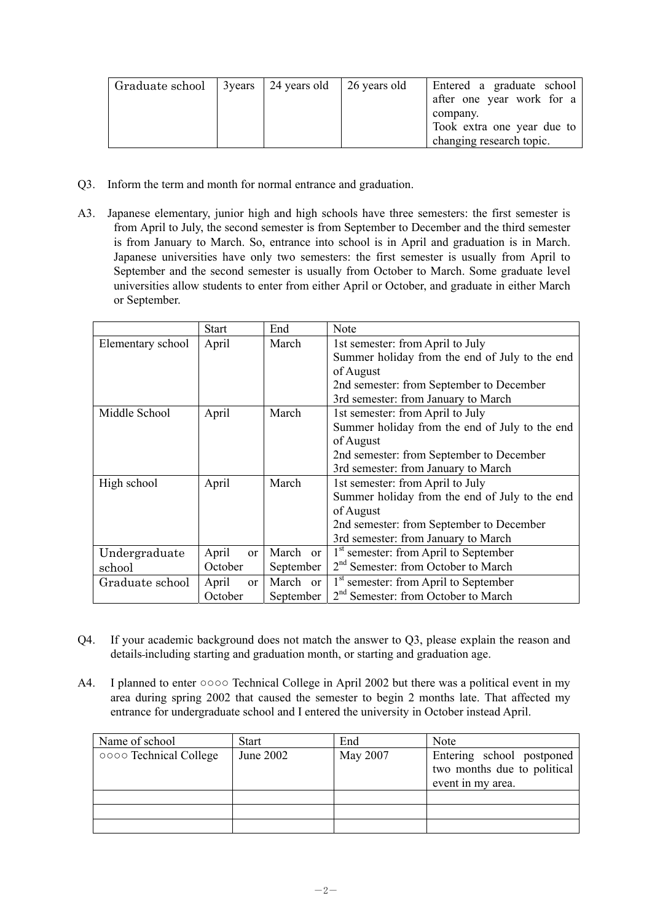| Graduate school |  | 3 years 24 years old 26 years old |  | Entered a graduate school<br>after one year work for a<br>company.<br>Took extra one year due to<br>changing research topic. |
|-----------------|--|-----------------------------------|--|------------------------------------------------------------------------------------------------------------------------------|
|-----------------|--|-----------------------------------|--|------------------------------------------------------------------------------------------------------------------------------|

- Q3. Inform the term and month for normal entrance and graduation.
- A3. Japanese elementary, junior high and high schools have three semesters: the first semester is from April to July, the second semester is from September to December and the third semester is from January to March. So, entrance into school is in April and graduation is in March. Japanese universities have only two semesters: the first semester is usually from April to September and the second semester is usually from October to March. Some graduate level universities allow students to enter from either April or October, and graduate in either March or September.

|                   | <b>Start</b>           | End       | Note                                              |
|-------------------|------------------------|-----------|---------------------------------------------------|
| Elementary school | March<br>April         |           | 1st semester: from April to July                  |
|                   |                        |           | Summer holiday from the end of July to the end    |
|                   |                        |           | of August                                         |
|                   |                        |           | 2nd semester: from September to December          |
|                   |                        |           | 3rd semester: from January to March               |
| Middle School     | April                  | March     | 1st semester: from April to July                  |
|                   |                        |           | Summer holiday from the end of July to the end    |
|                   |                        |           | of August                                         |
|                   |                        |           | 2nd semester: from September to December          |
|                   |                        |           | 3rd semester: from January to March               |
| High school       | April                  | March     | 1st semester: from April to July                  |
|                   |                        |           | Summer holiday from the end of July to the end    |
|                   |                        |           | of August                                         |
|                   |                        |           | 2nd semester: from September to December          |
|                   |                        |           | 3rd semester: from January to March               |
| Undergraduate     | April<br><sub>or</sub> | March or  | 1 <sup>st</sup> semester: from April to September |
| school            | October                | September | 2 <sup>nd</sup> Semester: from October to March   |
| Graduate school   | April<br><sub>or</sub> | March or  | 1 <sup>st</sup> semester: from April to September |
|                   | October                | September | 2 <sup>nd</sup> Semester: from October to March   |

- Q4. If your academic background does not match the answer to Q3, please explain the reason and details including starting and graduation month, or starting and graduation age.
- A4. I planned to enter ○○○○ Technical College in April 2002 but there was a political event in my area during spring 2002 that caused the semester to begin 2 months late. That affected my entrance for undergraduate school and I entered the university in October instead April.

| Name of school         | Start     | End      | <b>Note</b>                                                                   |
|------------------------|-----------|----------|-------------------------------------------------------------------------------|
| 0000 Technical College | June 2002 | May 2007 | Entering school postponed<br>two months due to political<br>event in my area. |
|                        |           |          |                                                                               |
|                        |           |          |                                                                               |
|                        |           |          |                                                                               |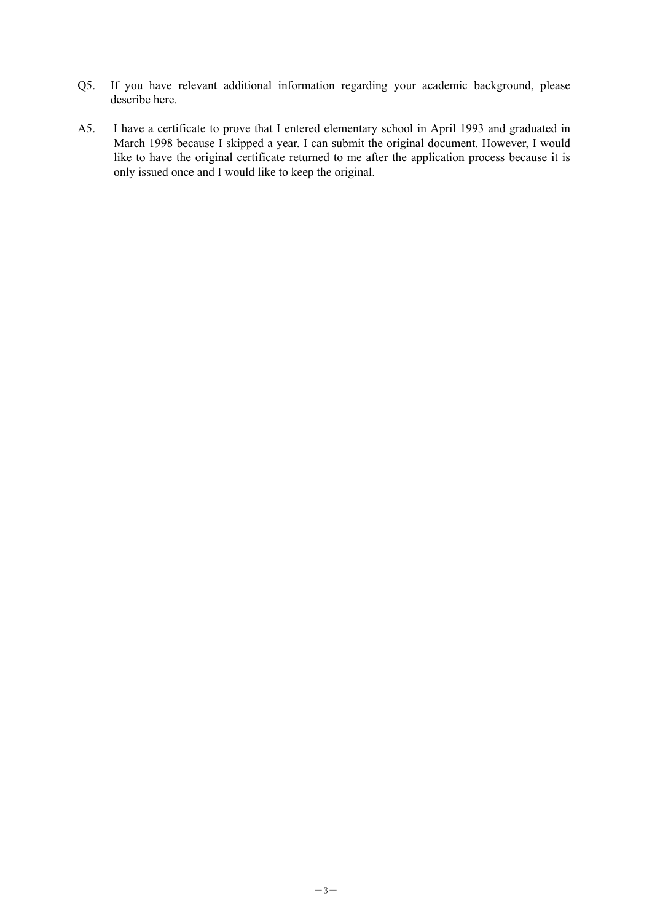- Q5. If you have relevant additional information regarding your academic background, please describe here.
- A5. I have a certificate to prove that I entered elementary school in April 1993 and graduated in March 1998 because I skipped a year. I can submit the original document. However, I would like to have the original certificate returned to me after the application process because it is only issued once and I would like to keep the original.